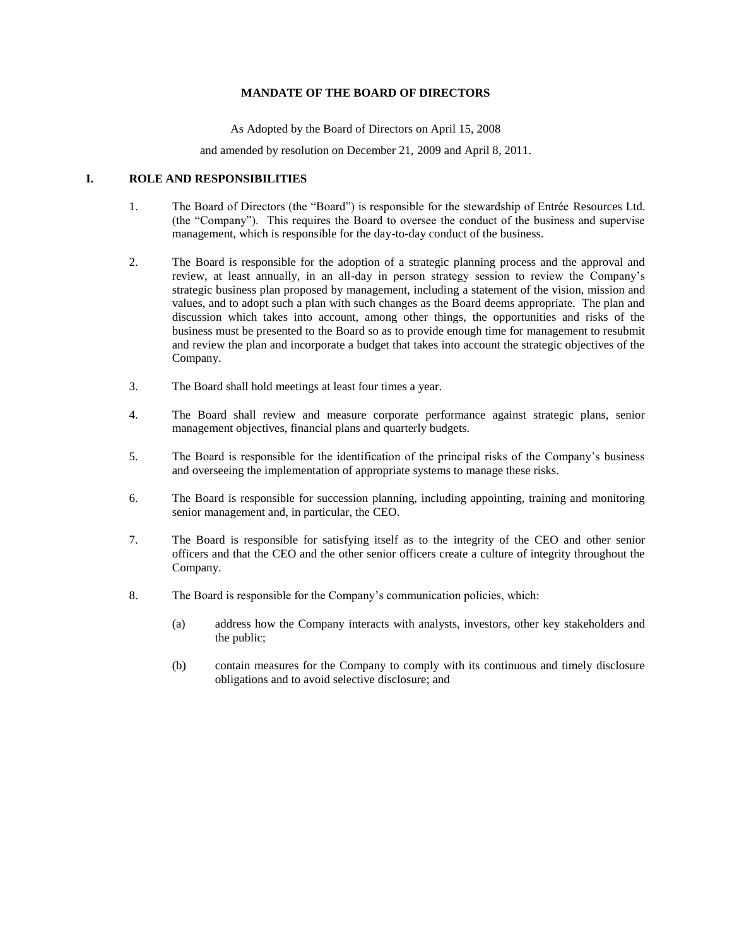## **MANDATE OF THE BOARD OF DIRECTORS**

As Adopted by the Board of Directors on April 15, 2008

and amended by resolution on December 21, 2009 and April 8, 2011.

## **I. ROLE AND RESPONSIBILITIES**

- 1. The Board of Directors (the "Board") is responsible for the stewardship of Entrée Resources Ltd. (the "Company"). This requires the Board to oversee the conduct of the business and supervise management, which is responsible for the day-to-day conduct of the business.
- 2. The Board is responsible for the adoption of a strategic planning process and the approval and review, at least annually, in an all-day in person strategy session to review the Company's strategic business plan proposed by management, including a statement of the vision, mission and values, and to adopt such a plan with such changes as the Board deems appropriate. The plan and discussion which takes into account, among other things, the opportunities and risks of the business must be presented to the Board so as to provide enough time for management to resubmit and review the plan and incorporate a budget that takes into account the strategic objectives of the Company.
- 3. The Board shall hold meetings at least four times a year.
- 4. The Board shall review and measure corporate performance against strategic plans, senior management objectives, financial plans and quarterly budgets.
- 5. The Board is responsible for the identification of the principal risks of the Company's business and overseeing the implementation of appropriate systems to manage these risks.
- 6. The Board is responsible for succession planning, including appointing, training and monitoring senior management and, in particular, the CEO.
- 7. The Board is responsible for satisfying itself as to the integrity of the CEO and other senior officers and that the CEO and the other senior officers create a culture of integrity throughout the Company.
- 8. The Board is responsible for the Company's communication policies, which:
	- (a) address how the Company interacts with analysts, investors, other key stakeholders and the public;
	- (b) contain measures for the Company to comply with its continuous and timely disclosure obligations and to avoid selective disclosure; and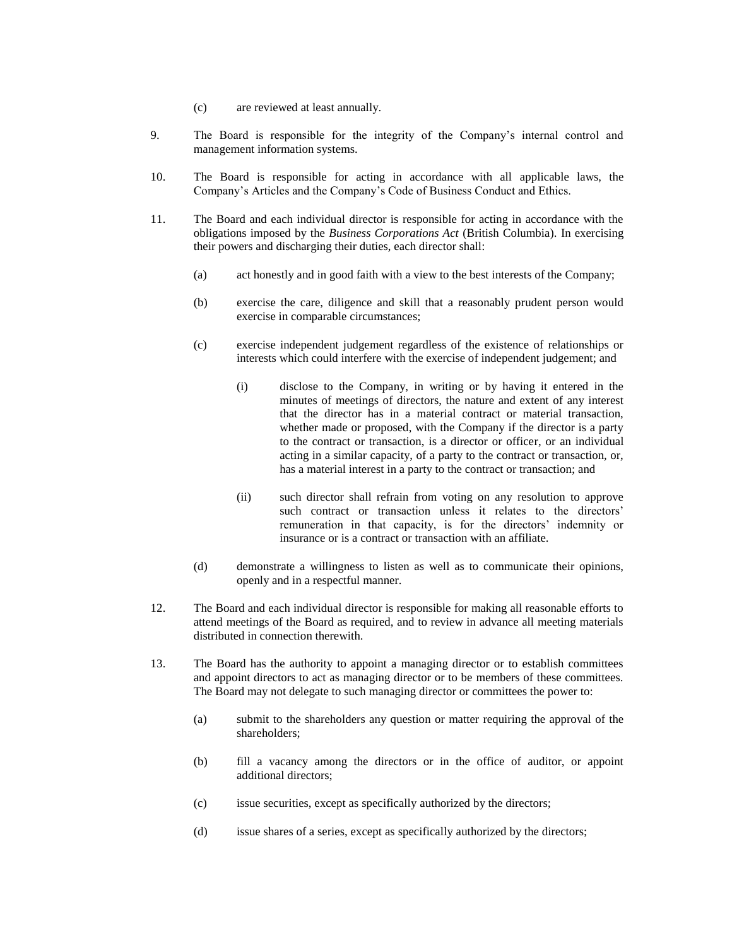- (c) are reviewed at least annually.
- 9. The Board is responsible for the integrity of the Company's internal control and management information systems.
- 10. The Board is responsible for acting in accordance with all applicable laws, the Company's Articles and the Company's Code of Business Conduct and Ethics.
- 11. The Board and each individual director is responsible for acting in accordance with the obligations imposed by the *Business Corporations Act* (British Columbia). In exercising their powers and discharging their duties, each director shall:
	- (a) act honestly and in good faith with a view to the best interests of the Company;
	- (b) exercise the care, diligence and skill that a reasonably prudent person would exercise in comparable circumstances;
	- (c) exercise independent judgement regardless of the existence of relationships or interests which could interfere with the exercise of independent judgement; and
		- (i) disclose to the Company, in writing or by having it entered in the minutes of meetings of directors, the nature and extent of any interest that the director has in a material contract or material transaction, whether made or proposed, with the Company if the director is a party to the contract or transaction, is a director or officer, or an individual acting in a similar capacity, of a party to the contract or transaction, or, has a material interest in a party to the contract or transaction; and
		- (ii) such director shall refrain from voting on any resolution to approve such contract or transaction unless it relates to the directors' remuneration in that capacity, is for the directors' indemnity or insurance or is a contract or transaction with an affiliate.
	- (d) demonstrate a willingness to listen as well as to communicate their opinions, openly and in a respectful manner.
- 12. The Board and each individual director is responsible for making all reasonable efforts to attend meetings of the Board as required, and to review in advance all meeting materials distributed in connection therewith.
- 13. The Board has the authority to appoint a managing director or to establish committees and appoint directors to act as managing director or to be members of these committees. The Board may not delegate to such managing director or committees the power to:
	- (a) submit to the shareholders any question or matter requiring the approval of the shareholders;
	- (b) fill a vacancy among the directors or in the office of auditor, or appoint additional directors;
	- (c) issue securities, except as specifically authorized by the directors;
	- (d) issue shares of a series, except as specifically authorized by the directors;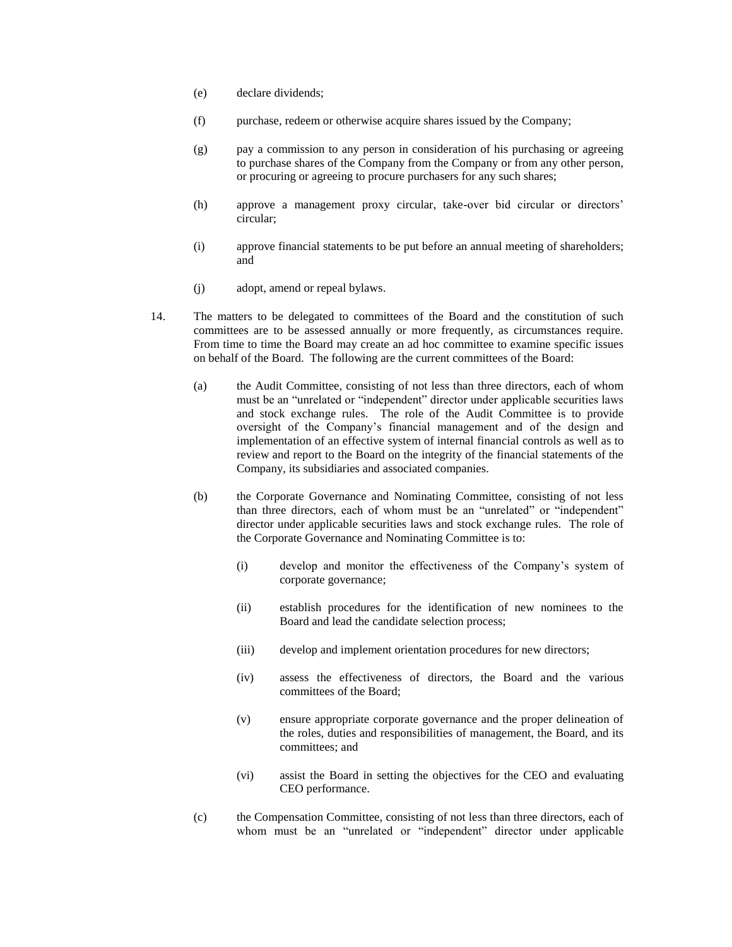- (e) declare dividends;
- (f) purchase, redeem or otherwise acquire shares issued by the Company;
- (g) pay a commission to any person in consideration of his purchasing or agreeing to purchase shares of the Company from the Company or from any other person, or procuring or agreeing to procure purchasers for any such shares;
- (h) approve a management proxy circular, take-over bid circular or directors' circular;
- (i) approve financial statements to be put before an annual meeting of shareholders; and
- (j) adopt, amend or repeal bylaws.
- 14. The matters to be delegated to committees of the Board and the constitution of such committees are to be assessed annually or more frequently, as circumstances require. From time to time the Board may create an ad hoc committee to examine specific issues on behalf of the Board. The following are the current committees of the Board:
	- (a) the Audit Committee, consisting of not less than three directors, each of whom must be an "unrelated or "independent" director under applicable securities laws and stock exchange rules. The role of the Audit Committee is to provide oversight of the Company's financial management and of the design and implementation of an effective system of internal financial controls as well as to review and report to the Board on the integrity of the financial statements of the Company, its subsidiaries and associated companies.
	- (b) the Corporate Governance and Nominating Committee, consisting of not less than three directors, each of whom must be an "unrelated" or "independent" director under applicable securities laws and stock exchange rules. The role of the Corporate Governance and Nominating Committee is to:
		- (i) develop and monitor the effectiveness of the Company's system of corporate governance;
		- (ii) establish procedures for the identification of new nominees to the Board and lead the candidate selection process;
		- (iii) develop and implement orientation procedures for new directors;
		- (iv) assess the effectiveness of directors, the Board and the various committees of the Board;
		- (v) ensure appropriate corporate governance and the proper delineation of the roles, duties and responsibilities of management, the Board, and its committees; and
		- (vi) assist the Board in setting the objectives for the CEO and evaluating CEO performance.
	- (c) the Compensation Committee, consisting of not less than three directors, each of whom must be an "unrelated or "independent" director under applicable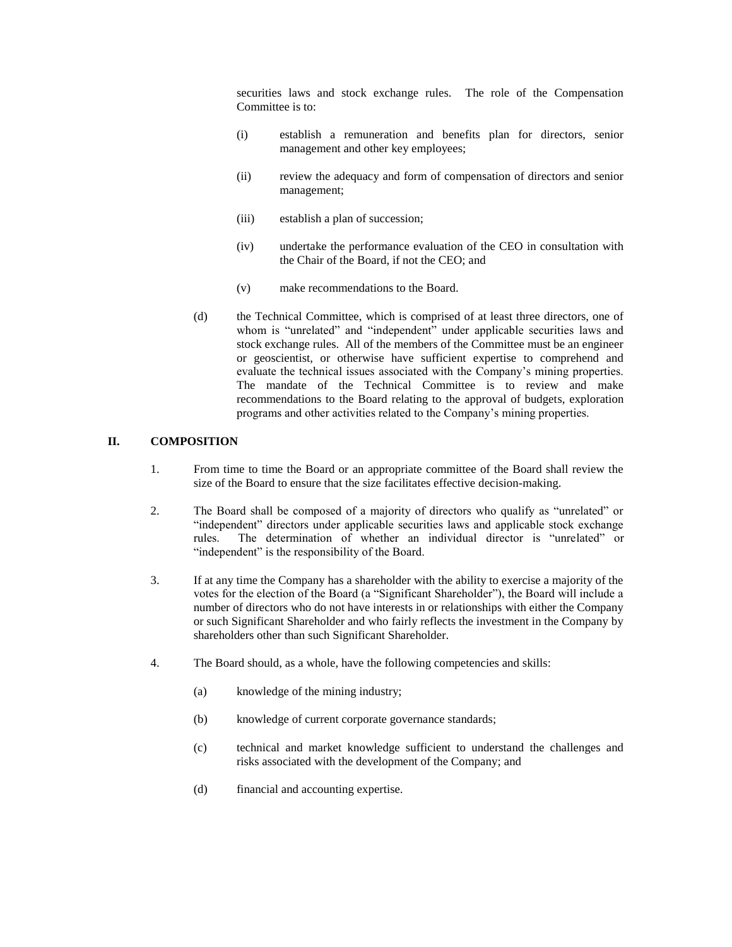securities laws and stock exchange rules. The role of the Compensation Committee is to:

- (i) establish a remuneration and benefits plan for directors, senior management and other key employees;
- (ii) review the adequacy and form of compensation of directors and senior management;
- (iii) establish a plan of succession;
- (iv) undertake the performance evaluation of the CEO in consultation with the Chair of the Board, if not the CEO; and
- (v) make recommendations to the Board.
- (d) the Technical Committee, which is comprised of at least three directors, one of whom is "unrelated" and "independent" under applicable securities laws and stock exchange rules. All of the members of the Committee must be an engineer or geoscientist, or otherwise have sufficient expertise to comprehend and evaluate the technical issues associated with the Company's mining properties. The mandate of the Technical Committee is to review and make recommendations to the Board relating to the approval of budgets, exploration programs and other activities related to the Company's mining properties.

## **II. COMPOSITION**

- 1. From time to time the Board or an appropriate committee of the Board shall review the size of the Board to ensure that the size facilitates effective decision-making.
- 2. The Board shall be composed of a majority of directors who qualify as "unrelated" or "independent" directors under applicable securities laws and applicable stock exchange rules. The determination of whether an individual director is "unrelated" or "independent" is the responsibility of the Board.
- 3. If at any time the Company has a shareholder with the ability to exercise a majority of the votes for the election of the Board (a "Significant Shareholder"), the Board will include a number of directors who do not have interests in or relationships with either the Company or such Significant Shareholder and who fairly reflects the investment in the Company by shareholders other than such Significant Shareholder.
- 4. The Board should, as a whole, have the following competencies and skills:
	- (a) knowledge of the mining industry;
	- (b) knowledge of current corporate governance standards;
	- (c) technical and market knowledge sufficient to understand the challenges and risks associated with the development of the Company; and
	- (d) financial and accounting expertise.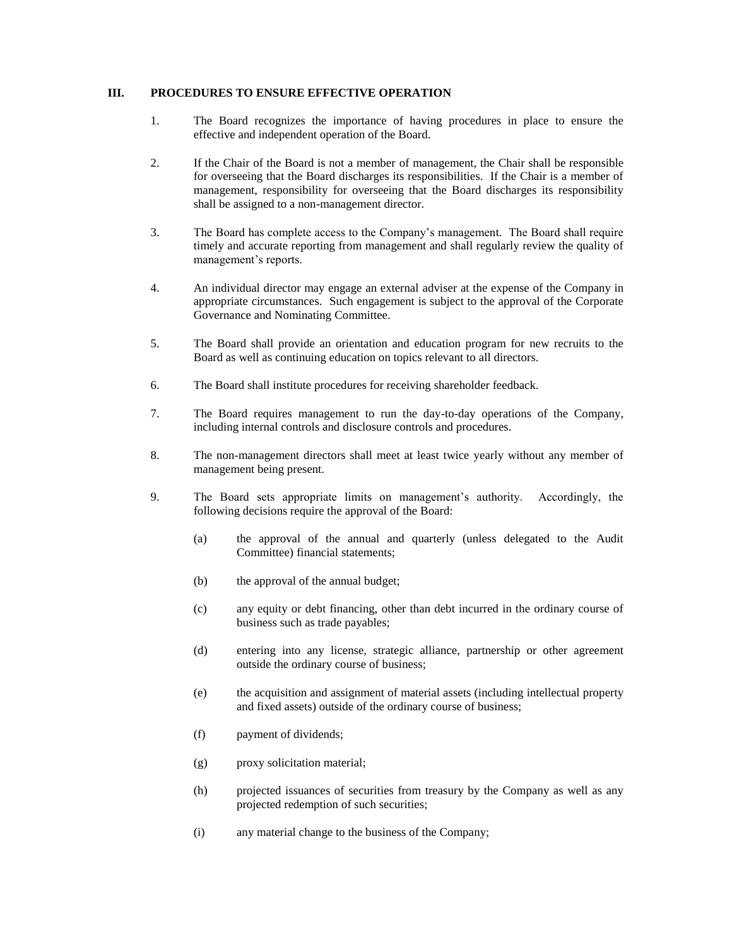## **III. PROCEDURES TO ENSURE EFFECTIVE OPERATION**

- 1. The Board recognizes the importance of having procedures in place to ensure the effective and independent operation of the Board.
- 2. If the Chair of the Board is not a member of management, the Chair shall be responsible for overseeing that the Board discharges its responsibilities. If the Chair is a member of management, responsibility for overseeing that the Board discharges its responsibility shall be assigned to a non-management director.
- 3. The Board has complete access to the Company's management. The Board shall require timely and accurate reporting from management and shall regularly review the quality of management's reports.
- 4. An individual director may engage an external adviser at the expense of the Company in appropriate circumstances. Such engagement is subject to the approval of the Corporate Governance and Nominating Committee.
- 5. The Board shall provide an orientation and education program for new recruits to the Board as well as continuing education on topics relevant to all directors.
- 6. The Board shall institute procedures for receiving shareholder feedback.
- 7. The Board requires management to run the day-to-day operations of the Company, including internal controls and disclosure controls and procedures.
- 8. The non-management directors shall meet at least twice yearly without any member of management being present.
- 9. The Board sets appropriate limits on management's authority. Accordingly, the following decisions require the approval of the Board:
	- (a) the approval of the annual and quarterly (unless delegated to the Audit Committee) financial statements;
	- (b) the approval of the annual budget;
	- (c) any equity or debt financing, other than debt incurred in the ordinary course of business such as trade payables;
	- (d) entering into any license, strategic alliance, partnership or other agreement outside the ordinary course of business;
	- (e) the acquisition and assignment of material assets (including intellectual property and fixed assets) outside of the ordinary course of business;
	- (f) payment of dividends;
	- (g) proxy solicitation material;
	- (h) projected issuances of securities from treasury by the Company as well as any projected redemption of such securities;
	- (i) any material change to the business of the Company;